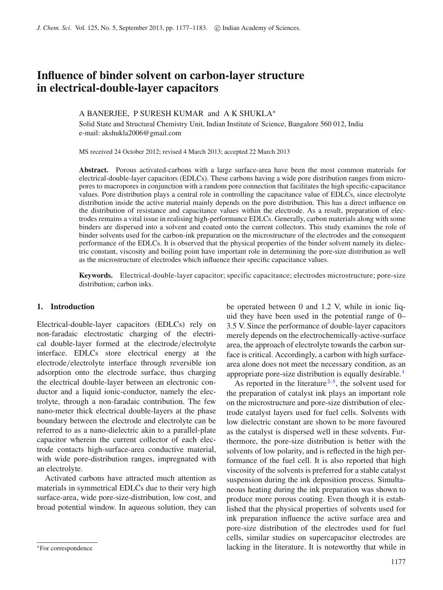# **Influence of binder solvent on carbon-layer structure in electrical-double-layer capacitors**

## A BANERJEE, P SURESH KUMAR and A K SHUKLA<sup>∗</sup>

Solid State and Structural Chemistry Unit, Indian Institute of Science, Bangalore 560 012, India e-mail: akshukla2006@gmail.com

MS received 24 October 2012; revised 4 March 2013; accepted 22 March 2013

**Abstract.** Porous activated-carbons with a large surface-area have been the most common materials for electrical-double-layer capacitors (EDLCs). These carbons having a wide pore distribution ranges from micropores to macropores in conjunction with a random pore connection that facilitates the high specific-capacitance values. Pore distribution plays a central role in controlling the capacitance value of EDLCs, since electrolyte distribution inside the active material mainly depends on the pore distribution. This has a direct influence on the distribution of resistance and capacitance values within the electrode. As a result, preparation of electrodes remains a vital issue in realising high-performance EDLCs. Generally, carbon materials along with some binders are dispersed into a solvent and coated onto the current collectors. This study examines the role of binder solvents used for the carbon-ink preparation on the microstructure of the electrodes and the consequent performance of the EDLCs. It is observed that the physical properties of the binder solvent namely its dielectric constant, viscosity and boiling point have important role in determining the pore-size distribution as well as the microstructure of electrodes which influence their specific capacitance values.

**Keywords.** Electrical-double-layer capacitor; specific capacitance; electrodes microstructure; pore-size distribution; carbon inks.

## **1. Introduction**

Electrical-double-layer capacitors (EDLCs) rely on non-faradaic electrostatic charging of the electrical double-layer formed at the electrode/electrolyte interface. EDLCs store electrical energy at the electrode/electrolyte interface through reversible ion adsorption onto the electrode surface, thus charging the electrical double-layer between an electronic conductor and a liquid ionic-conductor, namely the electrolyte, through a non-faradaic contribution. The few nano-meter thick electrical double-layers at the phase boundary between the electrode and electrolyte can be referred to as a nano-dielectric akin to a parallel-plate capacitor wherein the current collector of each electrode contacts high-surface-area conductive material, with wide pore-distribution ranges, impregnated with an electrolyte.

Activated carbons have attracted much attention as materials in symmetrical EDLCs due to their very high surface-area, wide pore-size-distribution, low cost, and broad potential window. In aqueous solution, they can

be operated between 0 and 1.2 V, while in ionic liquid they have been used in the potential range of 0– 3.5 V. Since the performance of double-layer capacitors merely depends on the electrochemically-active-surface area, the approach of electrolyte towards the carbon surface is critical. Accordingly, a carbon with high surfacearea alone does not meet the necessary condition, as an appropriate pore-size distribution is equally desirable. [1](#page-6-0)

As reported in the literature  $2-5$  $2-5$ , the solvent used for the preparation of catalyst ink plays an important role on the microstructure and pore-size distribution of electrode catalyst layers used for fuel cells. Solvents with low dielectric constant are shown to be more favoured as the catalyst is dispersed well in these solvents. Furthermore, the pore-size distribution is better with the solvents of low polarity, and is reflected in the high performance of the fuel cell. It is also reported that high viscosity of the solvents is preferred for a stable catalyst suspension during the ink deposition process. Simultaneous heating during the ink preparation was shown to produce more porous coating. Even though it is established that the physical properties of solvents used for ink preparation influence the active surface area and pore-size distribution of the electrodes used for fuel cells, similar studies on supercapacitor electrodes are lacking in the literature. It is noteworthy that while in

<sup>∗</sup>For correspondence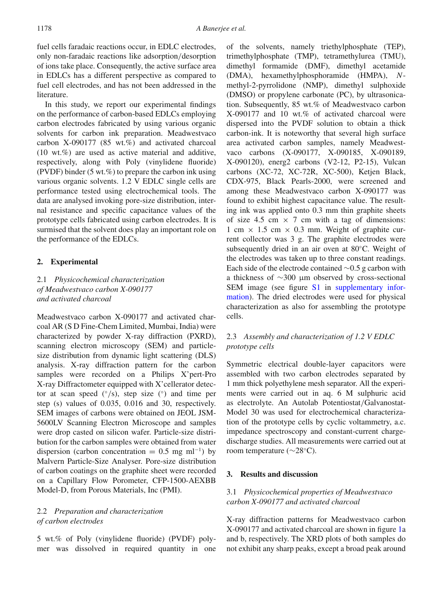fuel cells faradaic reactions occur, in EDLC electrodes, only non-faradaic reactions like adsorption/desorption of ions take place. Consequently, the active surface area in EDLCs has a different perspective as compared to fuel cell electrodes, and has not been addressed in the literature.

In this study, we report our experimental findings on the performance of carbon-based EDLCs employing carbon electrodes fabricated by using various organic solvents for carbon ink preparation. Meadwestvaco carbon X-090177 (85 wt.%) and activated charcoal (10 wt.%) are used as active material and additive, respectively, along with Poly (vinylidene fluoride) (PVDF) binder  $(5 wt. %)$  to prepare the carbon ink using various organic solvents. 1.2 V EDLC single cells are performance tested using electrochemical tools. The data are analysed invoking pore-size distribution, internal resistance and specific capacitance values of the prototype cells fabricated using carbon electrodes. It is surmised that the solvent does play an important role on the performance of the EDLCs.

#### **2. Experimental**

# 2.1 *Physicochemical characterization of Meadwestvaco carbon X-090177 and activated charcoal*

Meadwestvaco carbon X-090177 and activated charcoal AR (S D Fine-Chem Limited, Mumbai, India) were characterized by powder X-ray diffraction (PXRD), scanning electron microscopy (SEM) and particlesize distribution from dynamic light scattering (DLS) analysis. X-ray diffraction pattern for the carbon samples were recorded on a Philips X'pert-Pro X-ray Diffractometer equipped with X'cellerator detector at scan speed  $(°/s)$ , step size  $(^{\circ})$  and time per step (s) values of 0.035, 0.016 and 30, respectively. SEM images of carbons were obtained on JEOL JSM-5600LV Scanning Electron Microscope and samples were drop casted on silicon wafer. Particle-size distribution for the carbon samples were obtained from water dispersion (carbon concentration =  $0.5 \text{ mg ml}^{-1}$ ) by Malvern Particle-Size Analyser. Pore-size distribution of carbon coatings on the graphite sheet were recorded on a Capillary Flow Porometer, CFP-1500-AEXBB Model-D, from Porous Materials, Inc (PMI).

## 2.2 *Preparation and characterization of carbon electrodes*

5 wt.% of Poly (vinylidene fluoride) (PVDF) polymer was dissolved in required quantity in one of the solvents, namely triethylphosphate (TEP), trimethylphosphate (TMP), tetramethylurea (TMU), dimethyl formamide (DMF), dimethyl acetamide (DMA), hexamethylphosphoramide (HMPA), *N*methyl-2-pyrrolidone (NMP), dimethyl sulphoxide (DMSO) or propylene carbonate (PC), by ultrasonication. Subsequently, 85 wt.% of Meadwestvaco carbon X-090177 and 10 wt.% of activated charcoal were dispersed into the PVDF solution to obtain a thick carbon-ink. It is noteworthy that several high surface area activated carbon samples, namely Meadwestvaco carbons (X-090177, X-090185, X-090189, X-090120), energ2 carbons (V2-12, P2-15), Vulcan carbons (XC-72, XC-72R, XC-500), Ketjen Black, CDX-975, Black Pearls-2000, were screened and among these Meadwestvaco carbon X-090177 was found to exhibit highest capacitance value. The resulting ink was applied onto 0.3 mm thin graphite sheets of size 4.5 cm  $\times$  7 cm with a tag of dimensions: 1 cm  $\times$  1.5 cm  $\times$  0.3 mm. Weight of graphite current collector was 3 g. The graphite electrodes were subsequently dried in an air oven at 80◦C. Weight of the electrodes was taken up to three constant readings. Each side of the electrode contained ∼0.5 g carbon with a thickness of ∼300 μm observed by cross-sectional SEM image (see figure S1 in supplementary information). The dried electrodes were used for physical characterization as also for assembling the prototype cells.

# 2.3 *Assembly and characterization of 1.2 V EDLC prototype cells*

Symmetric electrical double-layer capacitors were assembled with two carbon electrodes separated by 1 mm thick polyethylene mesh separator. All the experiments were carried out in aq. 6 M sulphuric acid as electrolyte. An Autolab Potentiostat/Galvanostat-Model 30 was used for electrochemical characterization of the prototype cells by cyclic voltammetry, a.c. impedance spectroscopy and constant-current chargedischarge studies. All measurements were carried out at room temperature (∼28◦C).

## **3. Results and discussion**

### 3.1 *Physicochemical properties of Meadwestvaco carbon X-090177 and activated charcoal*

X-ray diffraction patterns for Meadwestvaco carbon X-090177 and activated charcoal are shown in figure [1a](#page-2-0) and b, respectively. The XRD plots of both samples do not exhibit any sharp peaks, except a broad peak around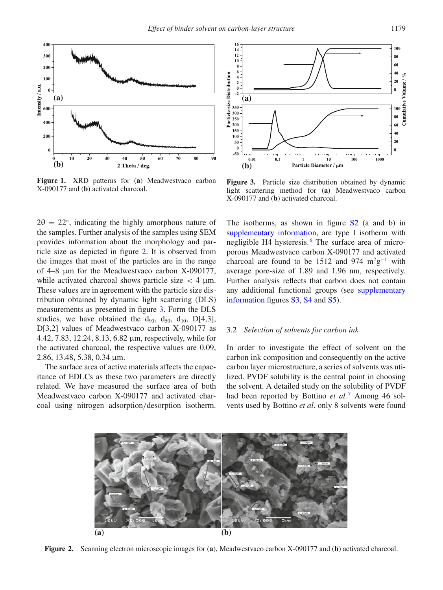<span id="page-2-0"></span>

**Figure 1.** XRD patterns for (**a**) Meadwestvaco carbon X-090177 and (**b**) activated charcoal.

 $2\theta = 22^{\circ}$ , indicating the highly amorphous nature of the samples. Further analysis of the samples using SEM provides information about the morphology and particle size as depicted in figure [2.](#page-2-1) It is observed from the images that most of the particles are in the range of 4–8 μm for the Meadwestvaco carbon X-090177, while activated charcoal shows particle size  $<$  4  $\mu$ m. These values are in agreement with the particle size distribution obtained by dynamic light scattering (DLS) measurements as presented in figure [3.](#page-2-2) Form the DLS studies, we have obtained the  $d_{90}$ ,  $d_{50}$ ,  $d_{10}$ ,  $D[4,3]$ , D[3,2] values of Meadwestvaco carbon X-090177 as 4.42, 7.83, 12.24, 8.13, 6.82 μm, respectively, while for the activated charcoal, the respective values are 0.09, 2.86, 13.48, 5.38, 0.34 μm.

The surface area of active materials affects the capacitance of EDLCs as these two parameters are directly related. We have measured the surface area of both Meadwestvaco carbon X-090177 and activated charcoal using nitrogen adsorption/desorption isotherm.

<span id="page-2-2"></span>

**Figure 3.** Particle size distribution obtained by dynamic light scattering method for (**a**) Meadwestvaco carbon X-090177 and (**b**) activated charcoal.

The isotherms, as shown in figure  $S2$  (a and b) in supplementary information, are type I isotherm with negligible H4 hysteresis.<sup>[6](#page-6-3)</sup> The surface area of microporous Meadwestvaco carbon X-090177 and activated charcoal are found to be 1512 and 974 m<sup>2</sup>g<sup>-1</sup> with average pore-size of 1.89 and 1.96 nm, respectively. Further analysis reflects that carbon does not contain any additional functional groups (see supplementary information figures S3, S4 and S5).

#### 3.2 *Selection of solvents for carbon ink*

In order to investigate the effect of solvent on the carbon ink composition and consequently on the active carbon layer microstructure, a series of solvents was utilized. PVDF solubility is the central point in choosing the solvent. A detailed study on the solubility of PVDF had been reported by Bottino *et al.*<sup>[7](#page-6-4)</sup> Among 46 solvents used by Bottino *et al*. only 8 solvents were found

<span id="page-2-1"></span>

**Figure 2.** Scanning electron microscopic images for (**a**), Meadwestvaco carbon X-090177 and (**b**) activated charcoal.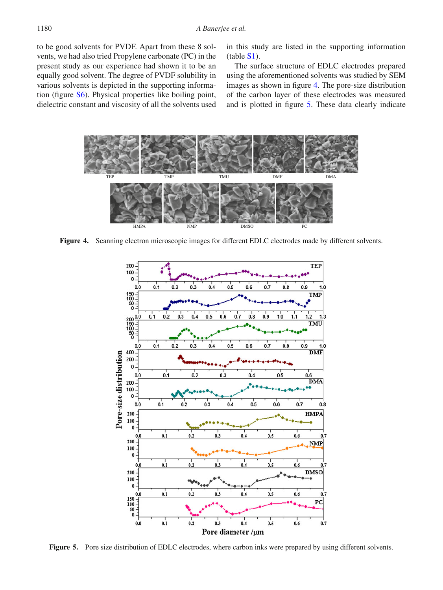to be good solvents for PVDF. Apart from these 8 solvents, we had also tried Propylene carbonate (PC) in the present study as our experience had shown it to be an equally good solvent. The degree of PVDF solubility in various solvents is depicted in the supporting information (figure S6). Physical properties like boiling point, dielectric constant and viscosity of all the solvents used in this study are listed in the supporting information (table S1).

The surface structure of EDLC electrodes prepared using the aforementioned solvents was studied by SEM images as shown in figure [4.](#page-3-0) The pore-size distribution of the carbon layer of these electrodes was measured and is plotted in figure [5.](#page-3-1) These data clearly indicate

<span id="page-3-0"></span>

<span id="page-3-1"></span>Figure 4. Scanning electron microscopic images for different EDLC electrodes made by different solvents.



**Figure 5.** Pore size distribution of EDLC electrodes, where carbon inks were prepared by using different solvents.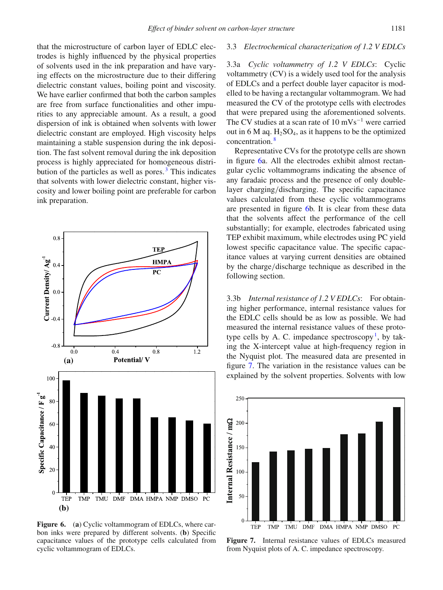#### 3.3 *Electrochemical characterization of 1.2 V EDLCs*

that the microstructure of carbon layer of EDLC electrodes is highly influenced by the physical properties of solvents used in the ink preparation and have varying effects on the microstructure due to their differing dielectric constant values, boiling point and viscosity. We have earlier confirmed that both the carbon samples are free from surface functionalities and other impurities to any appreciable amount. As a result, a good dispersion of ink is obtained when solvents with lower dielectric constant are employed. High viscosity helps maintaining a stable suspension during the ink deposition. The fast solvent removal during the ink deposition process is highly appreciated for homogeneous distribution of the particles as well as pores. $3$  This indicates that solvents with lower dielectric constant, higher viscosity and lower boiling point are preferable for carbon ink preparation.

<span id="page-4-0"></span>

**Figure 6.** (a) Cyclic voltammogram of EDLCs, where carbon inks were prepared by different solvents. (**b**) Specific capacitance values of the prototype cells calculated from cyclic voltammogram of EDLCs.

3.3a *Cyclic voltammetry of 1.2 V EDLCs*: Cyclic voltammetry (CV) is a widely used tool for the analysis of EDLCs and a perfect double layer capacitor is modelled to be having a rectangular voltammogram. We had measured the CV of the prototype cells with electrodes that were prepared using the aforementioned solvents. The CV studies at a scan rate of  $10 \text{ mVs}^{-1}$  were carried out in 6 M aq.  $H_2SO_4$ , as it happens to be the optimized concentration. [8](#page-6-6)

Representative CVs for the prototype cells are shown in figure [6a](#page-4-0). All the electrodes exhibit almost rectangular cyclic voltammograms indicating the absence of any faradaic process and the presence of only doublelayer charging/discharging. The specific capacitance values calculated from these cyclic voltammograms are presented in figure [6b](#page-4-0). It is clear from these data that the solvents affect the performance of the cell substantially; for example, electrodes fabricated using TEP exhibit maximum, while electrodes using PC yield lowest specific capacitance value. The specific capacitance values at varying current densities are obtained by the charge/discharge technique as described in the following section.

3.3b *Internal resistance of 1.2 V EDLCs*: For obtaining higher performance, internal resistance values for the EDLC cells should be as low as possible. We had measured the internal resistance values of these prototype cells by A. C. impedance spectroscopy<sup>1</sup>, by taking the X-intercept value at high-frequency region in the Nyquist plot. The measured data are presented in figure [7.](#page-4-1) The variation in the resistance values can be explained by the solvent properties. Solvents with low

<span id="page-4-1"></span>

**Figure 7.** Internal resistance values of EDLCs measured from Nyquist plots of A. C. impedance spectroscopy.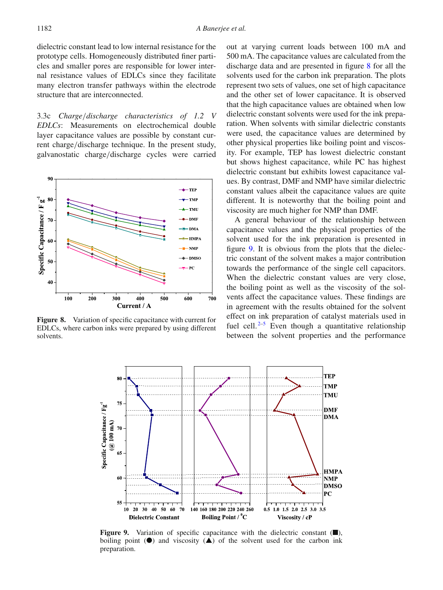dielectric constant lead to low internal resistance for the prototype cells. Homogeneously distributed finer particles and smaller pores are responsible for lower internal resistance values of EDLCs since they facilitate many electron transfer pathways within the electrode structure that are interconnected.

3.3c *Charge*/*discharge characteristics of 1.2 V EDLCs*: Measurements on electrochemical double layer capacitance values are possible by constant current charge/discharge technique. In the present study, galvanostatic charge/discharge cycles were carried

<span id="page-5-0"></span>

<span id="page-5-1"></span>**Figure 8.** Variation of specific capacitance with current for EDLCs, where carbon inks were prepared by using different solvents.

out at varying current loads between 100 mA and 500 mA. The capacitance values are calculated from the discharge data and are presented in figure [8](#page-5-0) for all the solvents used for the carbon ink preparation. The plots represent two sets of values, one set of high capacitance and the other set of lower capacitance. It is observed that the high capacitance values are obtained when low dielectric constant solvents were used for the ink preparation. When solvents with similar dielectric constants were used, the capacitance values are determined by other physical properties like boiling point and viscosity. For example, TEP has lowest dielectric constant but shows highest capacitance, while PC has highest dielectric constant but exhibits lowest capacitance values. By contrast, DMF and NMP have similar dielectric constant values albeit the capacitance values are quite different. It is noteworthy that the boiling point and viscosity are much higher for NMP than DMF.

A general behaviour of the relationship between capacitance values and the physical properties of the solvent used for the ink preparation is presented in figure [9.](#page-5-1) It is obvious from the plots that the dielectric constant of the solvent makes a major contribution towards the performance of the single cell capacitors. When the dielectric constant values are very close, the boiling point as well as the viscosity of the solvents affect the capacitance values. These findings are in agreement with the results obtained for the solvent effect on ink preparation of catalyst materials used in fuel cell.  $2-5$  $2-5$  Even though a quantitative relationship between the solvent properties and the performance



**Figure 9.** Variation of specific capacitance with the dielectric constant (■), boiling point  $(\bullet)$  and viscosity  $(\bullet)$  of the solvent used for the carbon ink preparation.